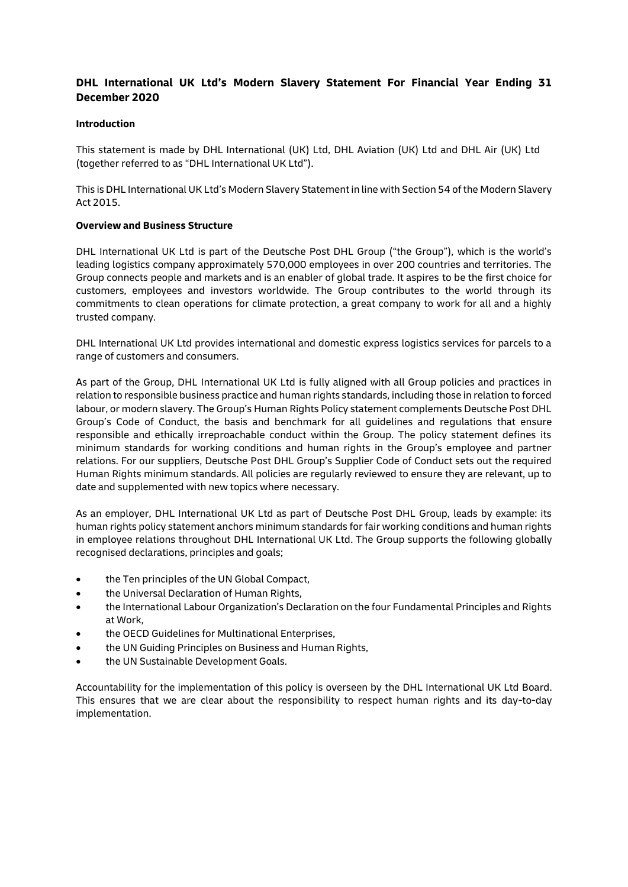### **DHL International UK Ltd's Modern Slavery Statement For Financial Year Ending 31 December 2020**

#### **Introduction**

This statement is made by DHL International (UK) Ltd, DHL Aviation (UK) Ltd and DHL Air (UK) Ltd (together referred to as "DHL International UK Ltd").

This is DHL International UK Ltd's Modern Slavery Statement in line with Section 54 of the Modern Slavery Act 2015.

#### **Overview and Business Structure**

DHL International UK Ltd is part of the Deutsche Post DHL Group ("the Group"), which is the world's leading logistics company approximately 570,000 employees in over 200 countries and territories. The Group connects people and markets and is an enabler of global trade. It aspires to be the first choice for customers, employees and investors worldwide. The Group contributes to the world through its commitments to clean operations for climate protection, a great company to work for all and a highly trusted company.

DHL International UK Ltd provides international and domestic express logistics services for parcels to a range of customers and consumers.

As part of the Group, DHL International UK Ltd is fully aligned with all Group policies and practices in relation to responsible business practice and human rights standards, including those in relation to forced labour, or modern slavery. The Group's Human Rights Policy statement complements Deutsche Post DHL Group's Code of Conduct, the basis and benchmark for all guidelines and regulations that ensure responsible and ethically irreproachable conduct within the Group. The policy statement defines its minimum standards for working conditions and human rights in the Group's employee and partner relations. For our suppliers, Deutsche Post DHL Group's Supplier Code of Conduct sets out the required Human Rights minimum standards. All policies are regularly reviewed to ensure they are relevant, up to date and supplemented with new topics where necessary.

As an employer, DHL International UK Ltd as part of Deutsche Post DHL Group, leads by example: its human rights policy statement anchors minimum standards for fair working conditions and human rights in employee relations throughout DHL International UK Ltd. The Group supports the following globally recognised declarations, principles and goals;

- the Ten principles of the UN Global Compact,
- the Universal Declaration of Human Rights,
- the International Labour Organization's Declaration on the four Fundamental Principles and Rights at Work,
- the OECD Guidelines for Multinational Enterprises,
- the UN Guiding Principles on Business and Human Rights,
- the UN Sustainable Development Goals.

Accountability for the implementation of this policy is overseen by the DHL International UK Ltd Board. This ensures that we are clear about the responsibility to respect human rights and its day-to-day implementation.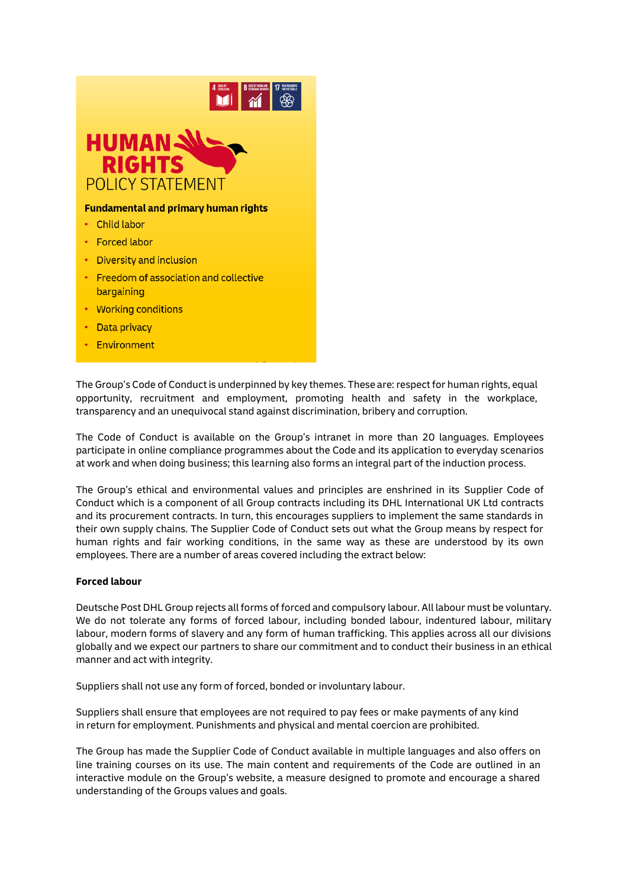

- 
- Data privacy
- Environment

The Group's Code of Conduct is underpinned by key themes. These are: respect for human rights, equal opportunity, recruitment and employment, promoting health and safety in the workplace, transparency and an unequivocal stand against discrimination, bribery and corruption.

The Code of Conduct is available on the Group's intranet in more than 20 languages. Employees participate in online compliance programmes about the Code and its application to everyday scenarios at work and when doing business; this learning also forms an integral part of the induction process.

The Group's ethical and environmental values and principles are enshrined in its [Supplier Code of](https://www.dpdhl.com/content/dam/dpdhl/en/media-center/responsibility/DPDHL_Supplier_Code_of_Conduct.pdf) [Conduct w](https://www.dpdhl.com/content/dam/dpdhl/en/media-center/responsibility/DPDHL_Supplier_Code_of_Conduct.pdf)hich is a component of all Group contracts including its DHL International UK Ltd contracts and its procurement contracts. In turn, this encourages suppliers to implement the same standards in their own supply chains. The Supplier Code of Conduct sets out what the Group means by respect for human rights and fair working conditions, in the same way as these are understood by its own employees. There are a number of areas covered including the extract below:

#### **Forced labour**

Deutsche Post DHL Group rejects all forms of forced and compulsory labour. All labour must be voluntary. We do not tolerate any forms of forced labour, including bonded labour, indentured labour, military labour, modern forms of slavery and any form of human trafficking. This applies across all our divisions globally and we expect our partners to share our commitment and to conduct their business in an ethical manner and act with integrity.

Suppliers shall not use any form of forced, bonded or involuntary labour.

Suppliers shall ensure that employees are not required to pay fees or make payments of any kind in return for employment. Punishments and physical and mental coercion are prohibited.

The Group has made the Supplier Code of Conduct available in multiple languages and also offers on line training courses on its use. The main content and requirements of the Code are outlined in an interactive module on the Group's website, a measure designed to promote and encourage a shared understanding of the Groups values and goals.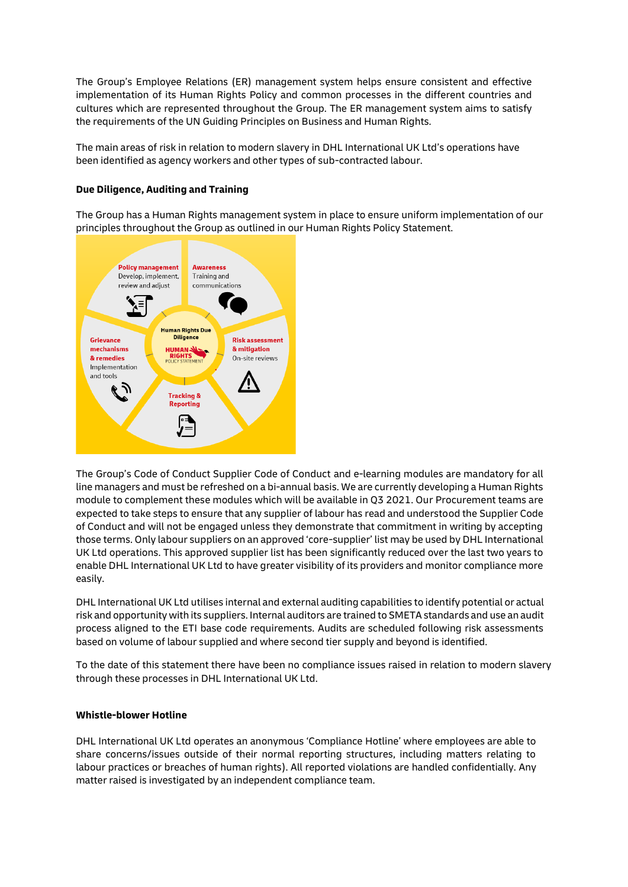The Group's Employee Relations (ER) management system helps ensure consistent and effective implementation of its Human Rights Policy and common processes in the different countries and cultures which are represented throughout the Group. The ER management system aims to satisfy the requirements of the UN Guiding Principles on Business and Human Rights.

The main areas of risk in relation to modern slavery in DHL International UK Ltd's operations have been identified as agency workers and other types of sub-contracted labour.

#### **Due Diligence, Auditing and Training**

The Group has a Human Rights management system in place to ensure uniform implementation of our principles throughout the Group as outlined in our Human Rights Policy Statement.



The Group's Code of Conduct Supplier Code of Conduct and e-learning modules are mandatory for all line managers and must be refreshed on a bi-annual basis. We are currently developing a Human Rights module to complement these modules which will be available in Q3 2021. Our Procurement teams are expected to take steps to ensure that any supplier of labour has read and understood the Supplier Code of Conduct and will not be engaged unless they demonstrate that commitment in writing by accepting those terms. Only labour suppliers on an approved 'core-supplier' list may be used by DHL International UK Ltd operations. This approved supplier list has been significantly reduced over the last two years to enable DHL International UK Ltd to have greater visibility of its providers and monitor compliance more easily.

DHL International UK Ltd utilises internal and external auditing capabilities to identify potential or actual risk and opportunity with its suppliers. Internal auditors are trained to SMETA standards and use an audit process aligned to the ETI base code requirements. Audits are scheduled following risk assessments based on volume of labour supplied and where second tier supply and beyond is identified.

To the date of this statement there have been no compliance issues raised in relation to modern slavery through these processes in DHL International UK Ltd.

#### **Whistle-blower Hotline**

DHL International UK Ltd operates an anonymous 'Compliance Hotline' where employees are able to share concerns/issues outside of their normal reporting structures, including matters relating to labour practices or breaches of human rights). All reported violations are handled confidentially. Any matter raised is investigated by an independent compliance team.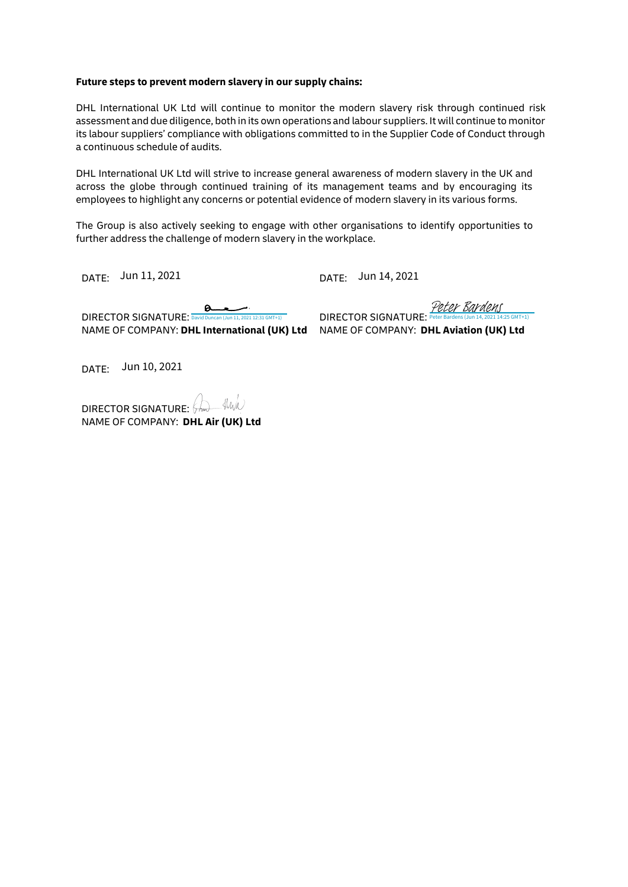#### **Future steps to prevent modern slavery in our supply chains:**

DHL International UK Ltd will continue to monitor the modern slavery risk through continued risk assessment and due diligence, both in its own operations and labour suppliers. It will continue to monitor its labour suppliers' compliance with obligations committed to in the Supplier Code of Conduct through a continuous schedule of audits.

DHL International UK Ltd will strive to increase general awareness of modern slavery in the UK and across the globe through continued training of its management teams and by encouraging its employees to highlight any concerns or potential evidence of modern slavery in its various forms.

The Group is also actively seeking to engage with other organisations to identify opportunities to further address the challenge of modern slavery in the workplace.

DATE: DATE: Jun 11, 2021

DATE: Jun 14, 2021

[Peter Bardens](https://salesforceintegration.eu1.echosign.com/verifier?tx=CBJCHBCAABAAdMvje8MUCPpGZAtW7HuG0PRzzXpEFn1Z) (Jun 14, 2021 12:31 GMT+1)<br>DIRECTOR SIGNATURE: Peter Bardens (Jun 14, 2021 14:25 GMT+1)  $\boldsymbol{\alpha}$ NAME OF COMPANY: **DHL International (UK) Ltd** NAME OF COMPANY: **DHL Aviation (UK) Ltd**

DATE: Jun 10, 2021

DIRECTOR SIGNATURE: A NAME OF COMPANY: **DHL Air (UK) Ltd**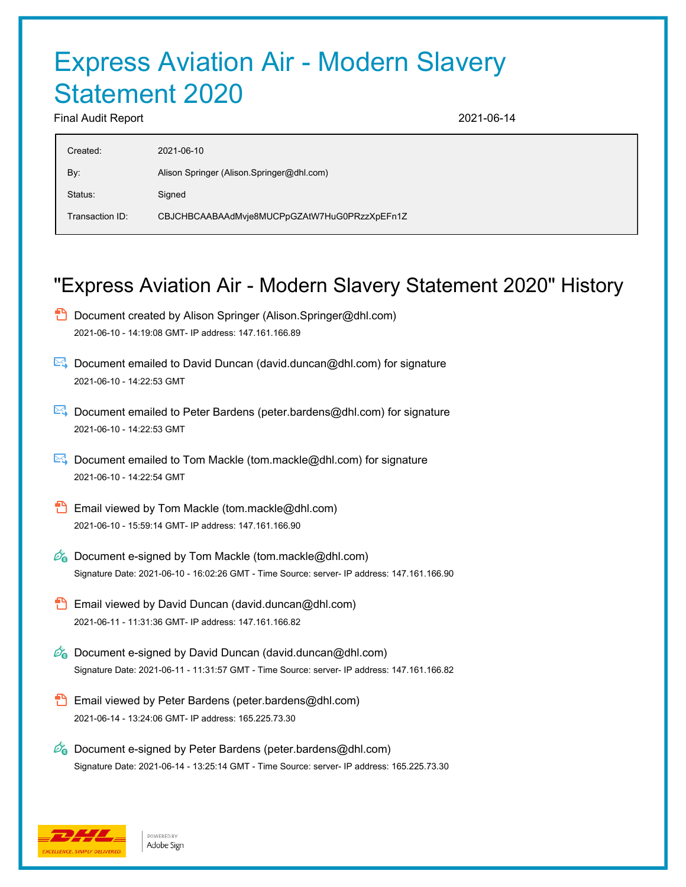# Express Aviation Air - Modern Slavery Statement 2020

Final Audit Report 2021-06-14

| Created:        | 2021-06-10                                   |
|-----------------|----------------------------------------------|
| By:             | Alison Springer (Alison Springer@dhl.com)    |
| Status:         | Signed                                       |
| Transaction ID: | CBJCHBCAABAAdMvje8MUCPpGZAtW7HuG0PRzzXpEFn1Z |
|                 |                                              |

## "Express Aviation Air - Modern Slavery Statement 2020" History

- **D** Document created by Alison Springer (Alison.Springer@dhl.com) 2021-06-10 - 14:19:08 GMT- IP address: 147.161.166.89
- Document emailed to David Duncan (david.duncan@dhl.com) for signature 2021-06-10 - 14:22:53 GMT
- **Document emailed to Peter Bardens (peter.bardens@dhl.com) for signature** 2021-06-10 - 14:22:53 GMT
- $\mathbb{R}$  Document emailed to Tom Mackle (tom.mackle@dhl.com) for signature 2021-06-10 - 14:22:54 GMT
- **Email viewed by Tom Mackle (tom.mackle@dhl.com)** 2021-06-10 - 15:59:14 GMT- IP address: 147.161.166.90
- $\mathbb{Z}_0$  Document e-signed by Tom Mackle (tom.mackle@dhl.com) Signature Date: 2021-06-10 - 16:02:26 GMT - Time Source: server- IP address: 147.161.166.90
- **Email viewed by David Duncan (david.duncan@dhl.com)** 2021-06-11 - 11:31:36 GMT- IP address: 147.161.166.82
- $\mathscr{O}_\mathbf{G}$  Document e-signed by David Duncan (david.duncan@dhl.com) Signature Date: 2021-06-11 - 11:31:57 GMT - Time Source: server- IP address: 147.161.166.82
- Email viewed by Peter Bardens (peter.bardens@dhl.com) 2021-06-14 - 13:24:06 GMT- IP address: 165.225.73.30
- $\mathscr{D}_{\bullet}$  Document e-signed by Peter Bardens (peter.bardens@dhl.com) Signature Date: 2021-06-14 - 13:25:14 GMT - Time Source: server- IP address: 165.225.73.30